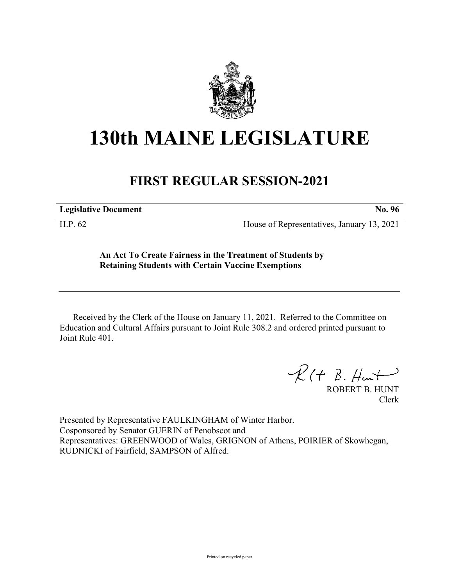

## **130th MAINE LEGISLATURE**

## **FIRST REGULAR SESSION-2021**

**Legislative Document No. 96**

H.P. 62 House of Representatives, January 13, 2021

**An Act To Create Fairness in the Treatment of Students by Retaining Students with Certain Vaccine Exemptions**

Received by the Clerk of the House on January 11, 2021. Referred to the Committee on Education and Cultural Affairs pursuant to Joint Rule 308.2 and ordered printed pursuant to Joint Rule 401.

 $R(H B. H<sub>un</sub>+)$ 

ROBERT B. HUNT Clerk

Presented by Representative FAULKINGHAM of Winter Harbor. Cosponsored by Senator GUERIN of Penobscot and Representatives: GREENWOOD of Wales, GRIGNON of Athens, POIRIER of Skowhegan, RUDNICKI of Fairfield, SAMPSON of Alfred.